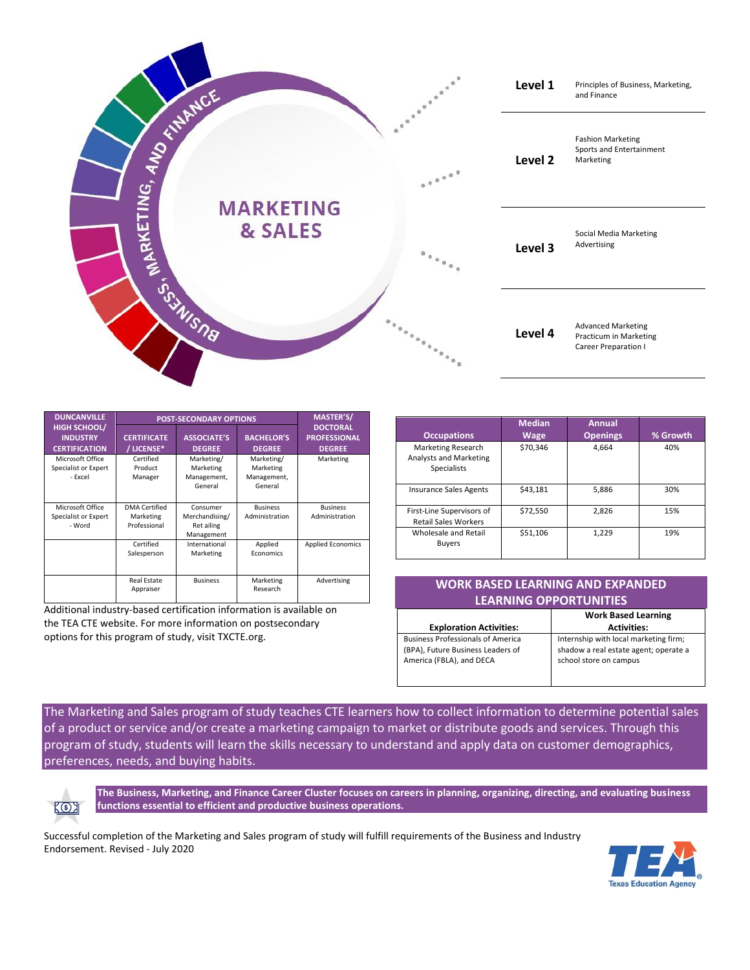

| <b>DUNCANVILLE</b>                                             | <b>POST-SECONDARY OPTIONS</b>                     |                                                        |                                                   | MASTER'S/                                               |
|----------------------------------------------------------------|---------------------------------------------------|--------------------------------------------------------|---------------------------------------------------|---------------------------------------------------------|
| <b>HIGH SCHOOL/</b><br><b>INDUSTRY</b><br><b>CERTIFICATION</b> | <b>CERTIFICATE</b><br>/ LICENSE*                  | <b>ASSOCIATE'S</b><br><b>DEGREE</b>                    | <b>BACHELOR'S</b><br><b>DEGREE</b>                | <b>DOCTORAL</b><br><b>PROFESSIONAL</b><br><b>DEGREE</b> |
| Microsoft Office<br>Specialist or Expert<br>- Excel            | Certified<br>Product<br>Manager                   | Marketing/<br>Marketing<br>Management,<br>General      | Marketing/<br>Marketing<br>Management,<br>General | Marketing                                               |
| Microsoft Office<br>Specialist or Expert<br>- Word             | <b>DMA</b> Certified<br>Marketing<br>Professional | Consumer<br>Merchandising/<br>Ret ailing<br>Management | <b>Business</b><br>Administration                 | <b>Business</b><br>Administration                       |
|                                                                | Certified<br>Salesperson                          | International<br>Marketing                             | Applied<br>Economics                              | <b>Applied Economics</b>                                |
|                                                                | <b>Real Estate</b><br>Appraiser                   | <b>Business</b>                                        | Marketing<br>Research                             | Advertising                                             |

Additional industry-based certification information is available on the TEA CTE website. For more information on postsecondary options for this program of study, visit TXCTE.org.

| <b>Occupations</b>                                                        | <b>Median</b><br><b>Wage</b> | <b>Annual</b><br><b>Openings</b> | % Growth |
|---------------------------------------------------------------------------|------------------------------|----------------------------------|----------|
| <b>Marketing Research</b><br>Analysts and Marketing<br><b>Specialists</b> | \$70,346                     | 4.664                            | 40%      |
| <b>Insurance Sales Agents</b>                                             | \$43.181                     | 5,886                            | 30%      |
| First-Line Supervisors of<br><b>Retail Sales Workers</b>                  | \$72,550                     | 2.826                            | 15%      |
| Wholesale and Retail<br><b>Buyers</b>                                     | \$51,106                     | 1,229                            | 19%      |

## **WORK BASED LEARNING AND EXPANDED LEARNING OPPORTUNITIES**

| <b>Work Based Learning</b>            |  |
|---------------------------------------|--|
| <b>Activities:</b>                    |  |
| Internship with local marketing firm; |  |
| shadow a real estate agent; operate a |  |
| school store on campus                |  |
|                                       |  |
|                                       |  |

The Marketing and Sales program of study teaches CTE learners how to collect information to determine potential sales of a product or service and/or create a marketing campaign to market or distribute goods and services. Through this program of study, students will learn the skills necessary to understand and apply data on customer demographics, preferences, needs, and buying habits.



**The Business, Marketing, and Finance Career Cluster focuses on careers in planning, organizing, directing, and evaluating business functions essential to efficient and productive business operations.**

Successful completion of the Marketing and Sales program of study will fulfill requirements of the Business and Industry Endorsement. Revised - July 2020